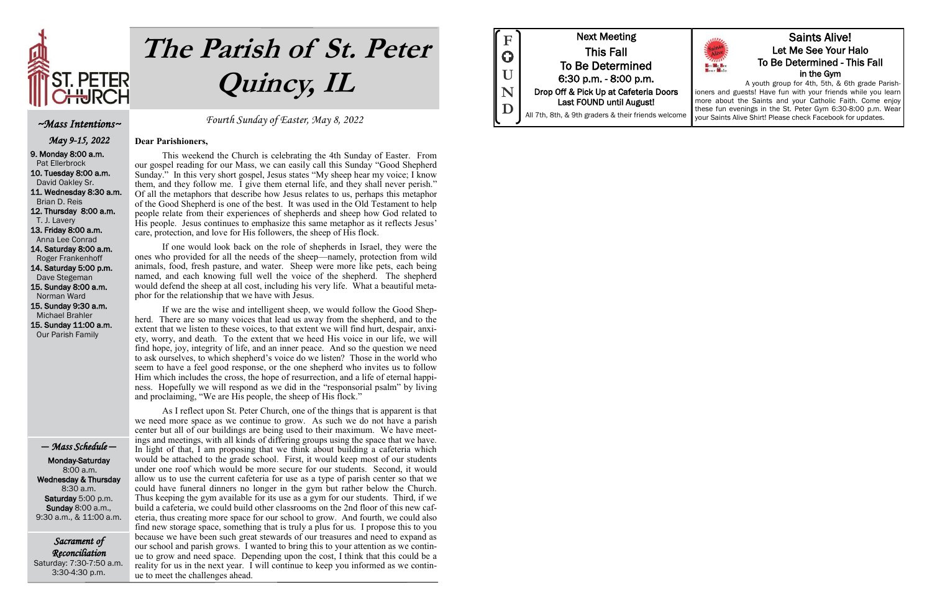

# **The Parish of St. Peter Quincy, IL**

Sacrament of Reconciliation Saturday: 7:30-7:50 a.m. 3:30-4:30 p.m.

Fourth Sunday of Easter, May 8, 2022

### **Dear Parishioners,**

This weekend the Church is celebrating the 4th Sunday of Easter. From our gospel reading for our Mass, we can easily call this Sunday "Good Shepherd Sunday." In this very short gospel, Jesus states "My sheep hear my voice; I know them, and they follow me. I give them eternal life, and they shall never perish." Of all the metaphors that describe how Jesus relates to us, perhaps this metaphor of the Good Shepherd is one of the best. It was used in the Old Testament to help people relate from their experiences of shepherds and sheep how God related to His people. Jesus continues to emphasize this same metaphor as it reflects Jesus' care, protection, and love for His followers, the sheep of His flock.

If one would look back on the role of shepherds in Israel, they were the ones who provided for all the needs of the sheep—namely, protection from wild animals, food, fresh pasture, and water. Sheep were more like pets, each being named, and each knowing full well the voice of the shepherd. The shepherd would defend the sheep at all cost, including his very life. What a beautiful metaphor for the relationship that we have with Jesus.

If we are the wise and intelligent sheep, we would follow the Good Shepherd. There are so many voices that lead us away from the shepherd, and to the extent that we listen to these voices, to that extent we will find hurt, despair, anxiety, worry, and death. To the extent that we heed His voice in our life, we will find hope, joy, integrity of life, and an inner peace. And so the question we need to ask ourselves, to which shepherd's voice do we listen? Those in the world who seem to have a feel good response, or the one shepherd who invites us to follow Him which includes the cross, the hope of resurrection, and a life of eternal happiness. Hopefully we will respond as we did in the "responsorial psalm" by living and proclaiming, "We are His people, the sheep of His flock."

As I reflect upon St. Peter Church, one of the things that is apparent is that we need more space as we continue to grow. As such we do not have a parish center but all of our buildings are being used to their maximum. We have meetings and meetings, with all kinds of differing groups using the space that we have. In light of that, I am proposing that we think about building a cafeteria which would be attached to the grade school. First, it would keep most of our students under one roof which would be more secure for our students. Second, it would allow us to use the current cafeteria for use as a type of parish center so that we could have funeral dinners no longer in the gym but rather below the Church. Thus keeping the gym available for its use as a gym for our students. Third, if we build a cafeteria, we could build other classrooms on the 2nd floor of this new cafeteria, thus creating more space for our school to grow. And fourth, we could also find new storage space, something that is truly a plus for us. I propose this to you because we have been such great stewards of our treasures and need to expand as our school and parish grows. I wanted to bring this to your attention as we continue to grow and need space. Depending upon the cost, I think that this could be a reality for us in the next year. I will continue to keep you informed as we continue to meet the challenges ahead.



### ~Mass Intentions~

May 9-15, 2022 9. Monday 8:00 a.m. Pat Ellerbrock 10. Tuesday 8:00 a.m. David Oakley Sr. 11. Wednesday 8:30 a.m. Brian D. Reis 12. Thursday 8:00 a.m. T. J. Lavery

13. Friday 8:00 a.m. Anna Lee Conrad

14. Saturday 8:00 a.m. Roger Frankenhoff 14. Saturday 5:00 p.m.

 Dave Stegeman 15. Sunday 8:00 a.m.

 Norman Ward 15. Sunday 9:30 a.m.

 Michael Brahler 15. Sunday 11:00 a.m. Our Parish Family

— Mass Schedule —

 Monday-Saturday 8:00 a.m. Wednesday & Thursday 8:30 a.m. Saturday 5:00 p.m. Sunday 8:00 a.m., 9:30 a.m., & 11:00 a.m.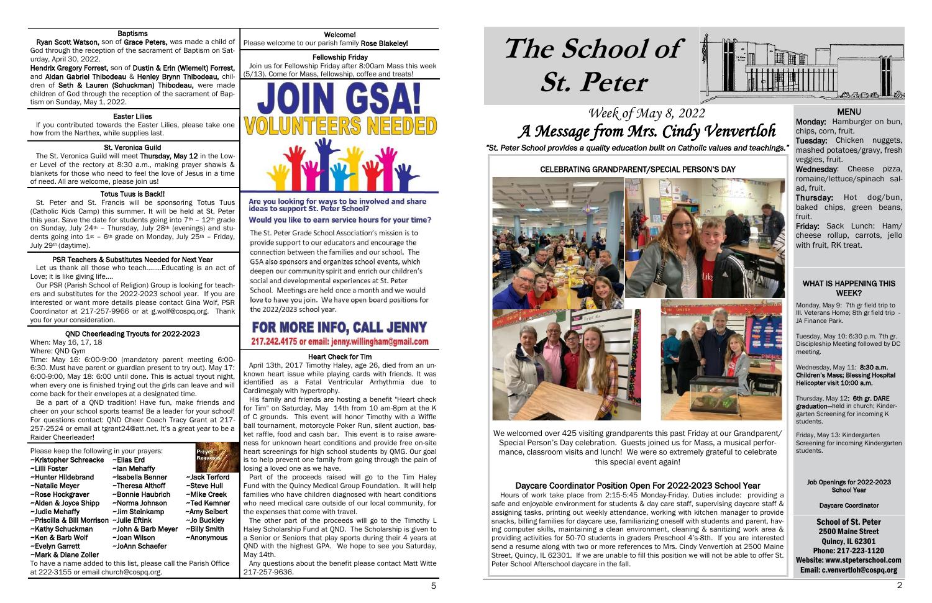# **The School of St. Peter**

School of St. Peter 2500 Maine Street Quincy, IL 62301 Phone: 217-223-1120 Website: www.stpeterschool.com Email: c.venvertloh@cospq.org

## Week of May 8, 2022 A Message from Mrs. Cindy Venvertloh *"St. Peter School provides a quality education built on Catholic values and teachings."*



### WHAT IS HAPPENING THIS WEEK?

 Monday, May 9: 7th gr field trip to Ill. Veterans Home; 8th gr field trip - JA Finance Park.

Tuesday, May 10: 6:30 p.m. 7th gr. Discipleship Meeting followed by DC meeting.

Wednesday, May 11: 8:30 a.m. Children's Mass; Blessing Hospital Helicopter visit 10:00 a.m.

### i Heart Check for Tim

Thursday, May 12: 6th gr. DARE graduation—held in church; Kindergarten Screening for incoming K students.

Friday, May 13: Kindergarten Screening for incoming Kindergarten students.

### Job Openings for 2022-2023 School Year

### Daycare Coordinator

### Welcome!

Please welcome to our parish family Rose Blakeley! i

### Fellowship Friday

 Join us for Fellowship Friday after 8:00am Mass this week (5/13). Come for Mass, fellowship, coffee and treats!



### Are you looking for ways to be involved and share ideas to support St. Peter School?

Would you like to earn service hours for your time?

The St. Peter Grade School Association's mission is to provide support to our educators and encourage the connection between the families and our school. The GSA also sponsors and organizes school events, which deepen our community spirit and enrich our children's social and developmental experiences at St. Peter School. Meetings are held once a month and we would love to have you join. We have open board positions for the 2022/2023 school year.

# FOR MORE INFO, CALL JENNY

217.242.4175 or email: jenny.willingham@gmail.com

 April 13th, 2017 Timothy Haley, age 26, died from an unknown heart issue while playing cards with friends. It was identified as a Fatal Ventricular Arrhythmia due to Cardimegaly with hypertrophy.

### ١ Easter Lilies

### i St. Veronica Guild

 His family and friends are hosting a benefit "Heart check for Tim" on Saturday, May 14th from 10 am-8pm at the K of C grounds. This event will honor Timothy with a Wiffle ball tournament, motorcycle Poker Run, silent auction, basket raffle, food and cash bar. This event is to raise awareness for unknown heart conditions and provide free on-site heart screenings for high school students by QMG. Our goal is to help prevent one family from going through the pain of losing a loved one as we have.

The St. Veronica Guild will meet Thursday, May 12 in the Lower Level of the rectory at 8:30 a.m., making prayer shawls & blankets for those who need to feel the love of Jesus in a time of need. All are welcome, please join us!

> Part of the proceeds raised will go to the Tim Haley Fund with the Quincy Medical Group Foundation. It will help families who have children diagnosed with heart conditions who need medical care outside of our local community, for the expenses that come with travel.

> The other part of the proceeds will go to the Timothy L Haley Scholarship Fund at QND. The Scholarship is given to a Senior or Seniors that play sports during their 4 years at QND with the highest GPA. We hope to see you Saturday, May 14th.

> Any questions about the benefit please contact Matt Witte 217-257-9636.

### **Baptisms**

 Ryan Scott Watson, son of Grace Peters, was made a child of God through the reception of the sacrament of Baptism on Saturday, April 30, 2022.

Hendrix Gregory Forrest, son of Dustin & Erin (Wiemelt) Forrest, and Aidan Gabriel Thibodeau & Henley Brynn Thibodeau, children of Seth & Lauren (Schuckman) Thibodeau, were made children of God through the reception of the sacrament of Baptism on Sunday, May 1, 2022.

> Wednesday: Cheese pizza, romaine/lettuce/spinach salad, fruit.

 If you contributed towards the Easter Lilies, please take one how from the Narthex, while supplies last.

### Totus Tuus is Back!!

 St. Peter and St. Francis will be sponsoring Totus Tuus (Catholic Kids Camp) this summer. It will be held at St. Peter this year. Save the date for students going into  $7<sup>th</sup>$  -  $12<sup>th</sup>$  grade on Sunday, July 24th – Thursday, July 28th (evenings) and students going into  $1^{st}$  - 6<sup>th</sup> grade on Monday, July 25<sup>th</sup> - Friday, July 29th (daytime).

### PSR Teachers & Substitutes Needed for Next Year

 Let us thank all those who teach........Educating is an act of Love; it is like giving life....

 Our PSR (Parish School of Religion) Group is looking for teachers and substitutes for the 2022-2023 school year. If you are interested or want more details please contact Gina Wolf, PSR Coordinator at 217-257-9966 or at g.wolf@cospq.org. Thank you for your consideration.

### QND Cheerleading Tryouts for 2022-2023

When: May 16, 17, 18

Where: QND Gym

١

Time: May 16: 6:00-9:00 (mandatory parent meeting 6:00- 6:30. Must have parent or guardian present to try out). May 17: 6:00-9:00, May 18: 6:00 until done. This is actual tryout night, when every one is finished trying out the girls can leave and will come back for their envelopes at a designated time.

 Be a part of a QND tradition! Have fun, make friends and cheer on your school sports teams! Be a leader for your school! For questions contact: QND Cheer Coach Tracy Grant at 217- 257-2524 or email at tgrant24@att.net. It's a great year to be a Raider Cheerleader!

Please keep the following in your prayers: ~Kristopher Schreacke ~Elias Erd ~Lilli Foster ~lan Mehaffy<br>~Hunter Hildebrand ~Isabella Benner ~Hunter Hildebrand ~Isabella Benner ~Jack Terford ~Natalie Meyer ~Theresa Althoff ~Rose Hockgraver ~Bonnie Haubrich ~Mike Creek ~Alden & Joyce Shipp ~Norma Johnson ~Ted Kemner<br>~Judie Mehaffy ~ ~Jim Steinkamp ~ ~Amy Seibert  $\sim$ Judie Mehaffy  $\sim$ Jim Steinkamp ~Priscilla & Bill Morrison ~Julie Eftink ~Jo Buckley ~Kathy Schuckman ~John & Barb Meyer ~Billy Smith ~Ken & Barb Wolf ~Joan Wilson ~Anonymous ~Evelyn Garrett ~JoAnn Schaefer ~Mark & Diane Zoller

To have a name added to this list, please call the Parish Office at 222-3155 or email church@cospq.org.

### MENU

Monday: Hamburger on bun, chips, corn, fruit.

Tuesday: Chicken nuggets, mashed potatoes/gravy, fresh veggies, fruit.

Thursday: Hot dog/bun, baked chips, green beans, fruit.

Friday: Sack Lunch: Ham/ cheese rollup, carrots, jello with fruit, RK treat.

### CELEBRATING GRANDPARENT/SPECIAL PERSON'S DAY



We welcomed over 425 visiting grandparents this past Friday at our Grandparent/ Special Person's Day celebration. Guests joined us for Mass, a musical performance, classroom visits and lunch! We were so extremely grateful to celebrate this special event again!

### Daycare Coordinator Position Open For 2022-2023 School Year

 Hours of work take place from 2:15-5:45 Monday-Friday. Duties include: providing a safe and enjoyable environment for students & day care staff, supervising daycare staff & assigning tasks, printing out weekly attendance, working with kitchen manager to provide snacks, billing families for daycare use, familiarizing oneself with students and parent, having computer skills, maintaining a clean environment, cleaning & sanitizing work area & providing activities for 50-70 students in graders Preschool 4's-8th. If you are interested send a resume along with two or more references to Mrs. Cindy Venvertloh at 2500 Maine Street, Quincy, IL 62301. If we are unable to fill this position we will not be able to offer St. Peter School Afterschool daycare in the fall.